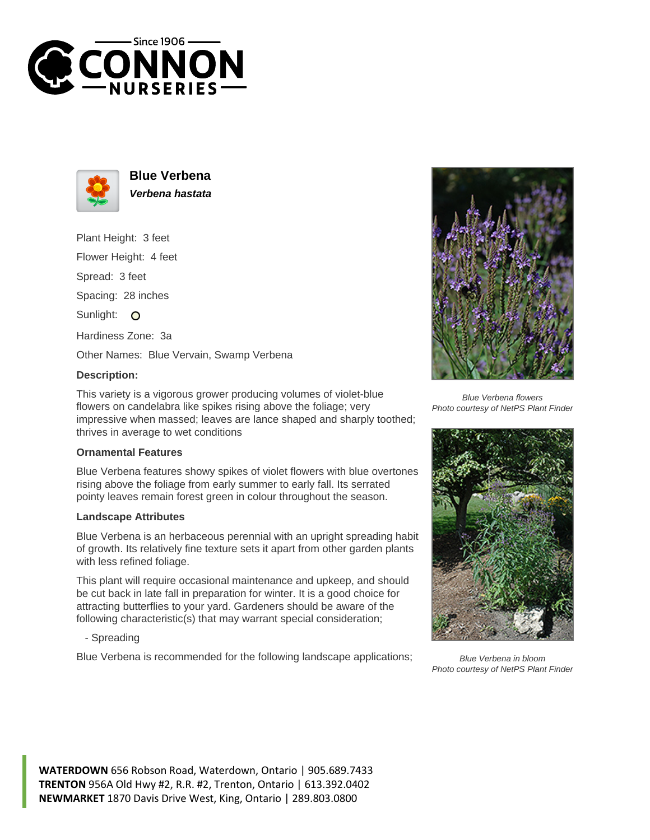



**Blue Verbena Verbena hastata**

Plant Height: 3 feet Flower Height: 4 feet Spread: 3 feet Spacing: 28 inches Sunlight: O Hardiness Zone: 3a Other Names: Blue Vervain, Swamp Verbena

## **Description:**

This variety is a vigorous grower producing volumes of violet-blue flowers on candelabra like spikes rising above the foliage; very impressive when massed; leaves are lance shaped and sharply toothed; thrives in average to wet conditions

## **Ornamental Features**

Blue Verbena features showy spikes of violet flowers with blue overtones rising above the foliage from early summer to early fall. Its serrated pointy leaves remain forest green in colour throughout the season.

## **Landscape Attributes**

Blue Verbena is an herbaceous perennial with an upright spreading habit of growth. Its relatively fine texture sets it apart from other garden plants with less refined foliage.

This plant will require occasional maintenance and upkeep, and should be cut back in late fall in preparation for winter. It is a good choice for attracting butterflies to your yard. Gardeners should be aware of the following characteristic(s) that may warrant special consideration;

- Spreading

Blue Verbena is recommended for the following landscape applications;



Blue Verbena flowers Photo courtesy of NetPS Plant Finder



Blue Verbena in bloom Photo courtesy of NetPS Plant Finder

**WATERDOWN** 656 Robson Road, Waterdown, Ontario | 905.689.7433 **TRENTON** 956A Old Hwy #2, R.R. #2, Trenton, Ontario | 613.392.0402 **NEWMARKET** 1870 Davis Drive West, King, Ontario | 289.803.0800